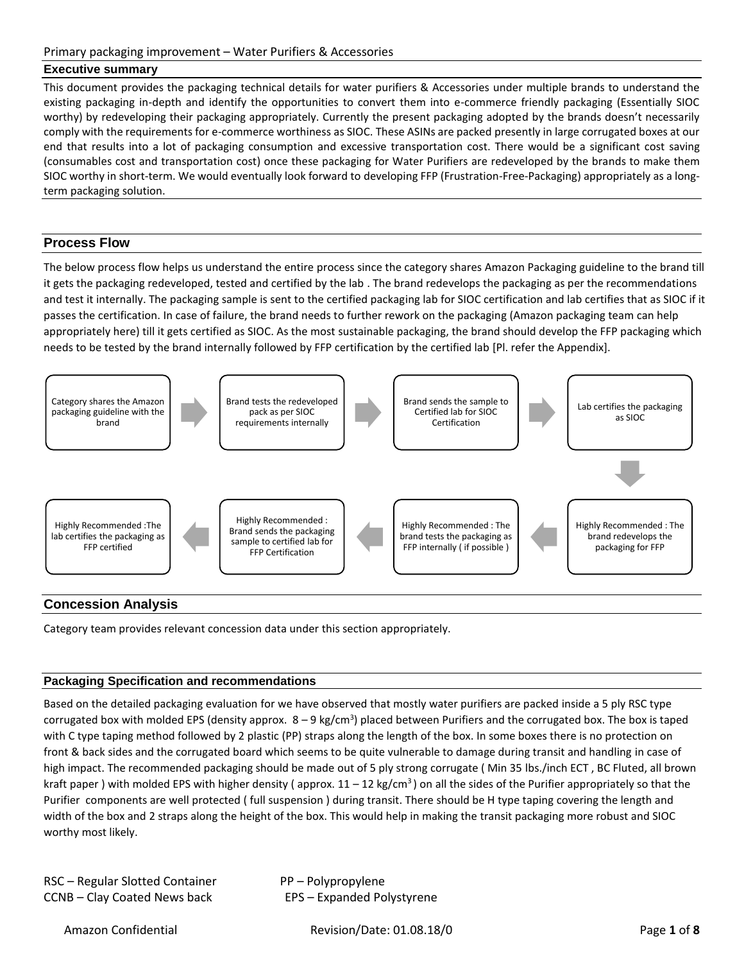## **Executive summary**

This document provides the packaging technical details for water purifiers & Accessories under multiple brands to understand the existing packaging in-depth and identify the opportunities to convert them into e-commerce friendly packaging (Essentially SIOC worthy) by redeveloping their packaging appropriately. Currently the present packaging adopted by the brands doesn't necessarily comply with the requirements for e-commerce worthiness as SIOC. These ASINs are packed presently in large corrugated boxes at our end that results into a lot of packaging consumption and excessive transportation cost. There would be a significant cost saving (consumables cost and transportation cost) once these packaging for Water Purifiers are redeveloped by the brands to make them SIOC worthy in short-term. We would eventually look forward to developing FFP (Frustration-Free-Packaging) appropriately as a longterm packaging solution.

## **Process Flow**

The below process flow helps us understand the entire process since the category shares Amazon Packaging guideline to the brand till it gets the packaging redeveloped, tested and certified by the lab . The brand redevelops the packaging as per the recommendations and test it internally. The packaging sample is sent to the certified packaging lab for SIOC certification and lab certifies that as SIOC if it passes the certification. In case of failure, the brand needs to further rework on the packaging (Amazon packaging team can help appropriately here) till it gets certified as SIOC. As the most sustainable packaging, the brand should develop the FFP packaging which needs to be tested by the brand internally followed by FFP certification by the certified lab [Pl. refer the Appendix].



## **Concession Analysis**

Category team provides relevant concession data under this section appropriately.

#### **Packaging Specification and recommendations**

Based on the detailed packaging evaluation for we have observed that mostly water purifiers are packed inside a 5 ply RSC type corrugated box with molded EPS (density approx.  $8-9$  kg/cm<sup>3</sup>) placed between Purifiers and the corrugated box. The box is taped with C type taping method followed by 2 plastic (PP) straps along the length of the box. In some boxes there is no protection on front & back sides and the corrugated board which seems to be quite vulnerable to damage during transit and handling in case of high impact. The recommended packaging should be made out of 5 ply strong corrugate ( Min 35 lbs./inch ECT , BC Fluted, all brown kraft paper ) with molded EPS with higher density (approx.  $11 - 12$  kg/cm<sup>3</sup>) on all the sides of the Purifier appropriately so that the Purifier components are well protected ( full suspension ) during transit. There should be H type taping covering the length and width of the box and 2 straps along the height of the box. This would help in making the transit packaging more robust and SIOC worthy most likely.

| RSC - Regular Slotted Container | PP – Polypropylene         |
|---------------------------------|----------------------------|
| CCNB – Clay Coated News back    | EPS - Expanded Polystyrene |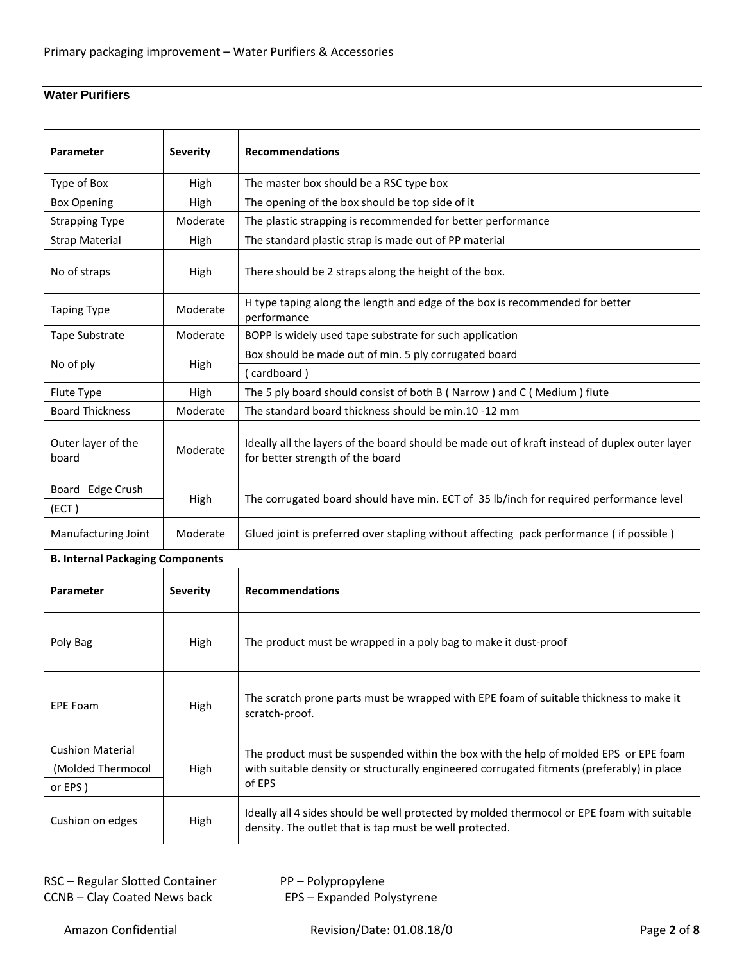# **Water Purifiers**

| Parameter                               | <b>Severity</b> | <b>Recommendations</b>                                                                                                                                |  |
|-----------------------------------------|-----------------|-------------------------------------------------------------------------------------------------------------------------------------------------------|--|
| Type of Box                             | High            | The master box should be a RSC type box                                                                                                               |  |
| <b>Box Opening</b>                      | High            | The opening of the box should be top side of it                                                                                                       |  |
| <b>Strapping Type</b>                   | Moderate        | The plastic strapping is recommended for better performance                                                                                           |  |
| <b>Strap Material</b>                   | High            | The standard plastic strap is made out of PP material                                                                                                 |  |
| No of straps                            | High            | There should be 2 straps along the height of the box.                                                                                                 |  |
| <b>Taping Type</b>                      | Moderate        | H type taping along the length and edge of the box is recommended for better<br>performance                                                           |  |
| Tape Substrate                          | Moderate        | BOPP is widely used tape substrate for such application                                                                                               |  |
| No of ply                               | High            | Box should be made out of min. 5 ply corrugated board                                                                                                 |  |
|                                         |                 | (cardboard)                                                                                                                                           |  |
| Flute Type                              | High            | The 5 ply board should consist of both B (Narrow) and C (Medium) flute                                                                                |  |
| <b>Board Thickness</b>                  | Moderate        | The standard board thickness should be min.10 -12 mm                                                                                                  |  |
| Outer layer of the<br>board             | Moderate        | Ideally all the layers of the board should be made out of kraft instead of duplex outer layer<br>for better strength of the board                     |  |
| Board Edge Crush                        |                 | The corrugated board should have min. ECT of 35 lb/inch for required performance level                                                                |  |
| (ECT)                                   | High            |                                                                                                                                                       |  |
| Manufacturing Joint                     | Moderate        | Glued joint is preferred over stapling without affecting pack performance (if possible)                                                               |  |
| <b>B. Internal Packaging Components</b> |                 |                                                                                                                                                       |  |
| Parameter                               | <b>Severity</b> | <b>Recommendations</b>                                                                                                                                |  |
| Poly Bag                                | High            | The product must be wrapped in a poly bag to make it dust-proof                                                                                       |  |
| <b>EPE Foam</b>                         | High            | The scratch prone parts must be wrapped with EPE foam of suitable thickness to make it<br>scratch-proof.                                              |  |
| <b>Cushion Material</b>                 |                 | The product must be suspended within the box with the help of molded EPS or EPE foam                                                                  |  |
| (Molded Thermocol                       | High            | with suitable density or structurally engineered corrugated fitments (preferably) in place                                                            |  |
| or EPS)                                 |                 | of EPS                                                                                                                                                |  |
| Cushion on edges                        | High            | Ideally all 4 sides should be well protected by molded thermocol or EPE foam with suitable<br>density. The outlet that is tap must be well protected. |  |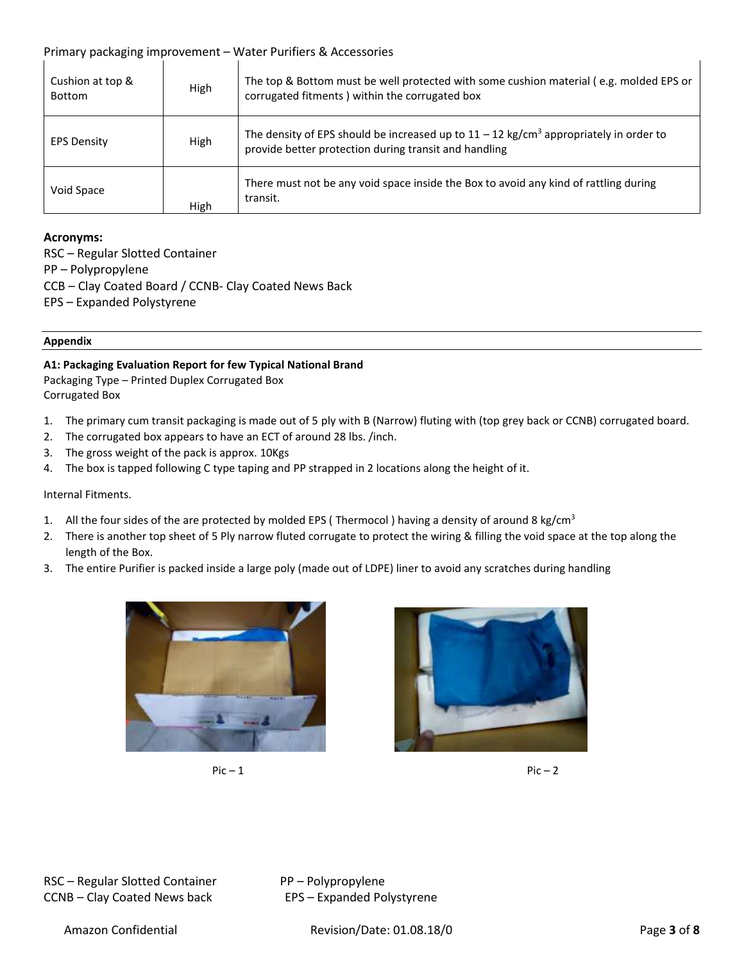| Cushion at top &<br>Bottom | High | The top & Bottom must be well protected with some cushion material (e.g. molded EPS or<br>corrugated fitments ) within the corrugated box                    |
|----------------------------|------|--------------------------------------------------------------------------------------------------------------------------------------------------------------|
| <b>EPS Density</b>         | High | The density of EPS should be increased up to $11 - 12$ kg/cm <sup>3</sup> appropriately in order to<br>provide better protection during transit and handling |
| Void Space                 | High | There must not be any void space inside the Box to avoid any kind of rattling during<br>transit.                                                             |

#### **Acronyms:**

RSC – Regular Slotted Container PP – Polypropylene CCB – Clay Coated Board / CCNB- Clay Coated News Back EPS – Expanded Polystyrene

#### **Appendix**

#### **A1: Packaging Evaluation Report for few Typical National Brand**

Packaging Type – Printed Duplex Corrugated Box Corrugated Box

- 1. The primary cum transit packaging is made out of 5 ply with B (Narrow) fluting with (top grey back or CCNB) corrugated board.
- 2. The corrugated box appears to have an ECT of around 28 lbs. /inch.
- 3. The gross weight of the pack is approx. 10Kgs
- 4. The box is tapped following C type taping and PP strapped in 2 locations along the height of it.

#### Internal Fitments.

- 1. All the four sides of the are protected by molded EPS (Thermocol) having a density of around 8 kg/cm<sup>3</sup>
- 2. There is another top sheet of 5 Ply narrow fluted corrugate to protect the wiring & filling the void space at the top along the length of the Box.
- 3. The entire Purifier is packed inside a large poly (made out of LDPE) liner to avoid any scratches during handling







RSC – Regular Slotted Container PP – Polypropylene CCNB – Clay Coated News back EPS – Expanded Polystyrene

Amazon Confidential Revision/Date: 01.08.18/0 Page **3** of **8**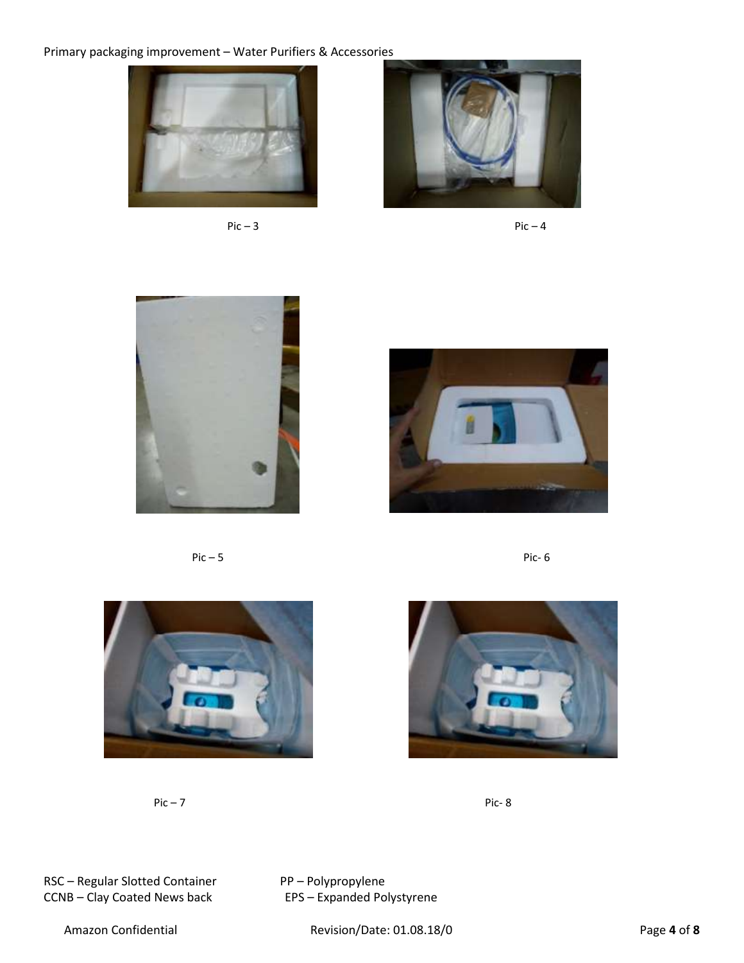













**Pic – 7 Pic-8** 



RSC – Regular Slotted Container PP – Polypropylene<br>
CCNB – Clay Coated News back EPS – Expanded Polystyrene CCNB – Clay Coated News back

Amazon Confidential Revision/Date: 01.08.18/0 Page **4** of **8**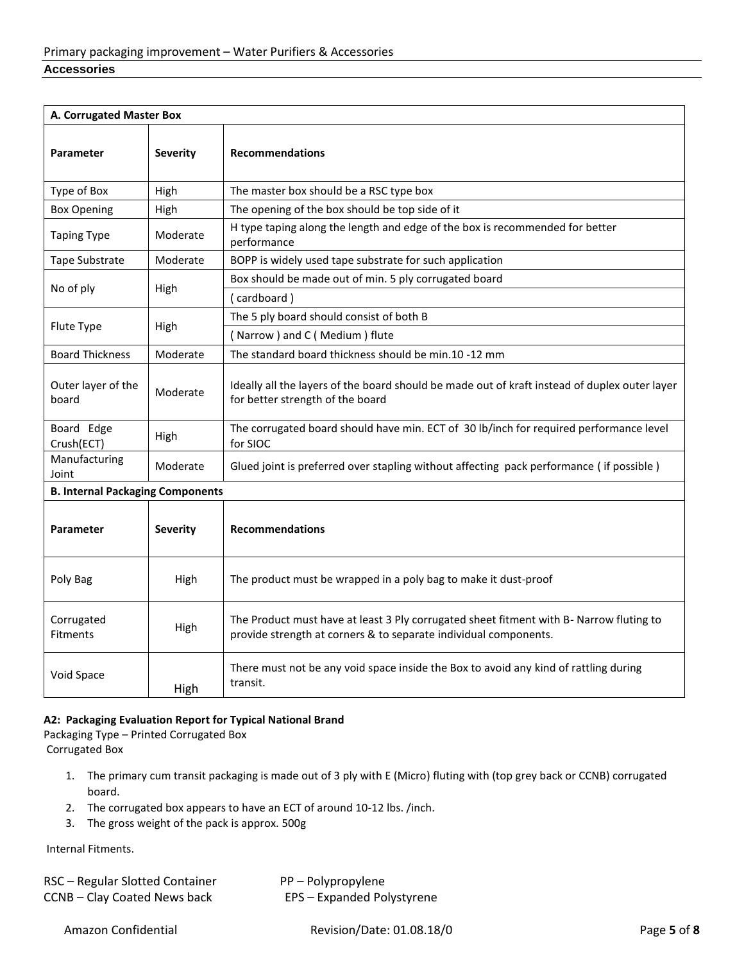| A. Corrugated Master Box                |                 |                                                                                                                                                             |
|-----------------------------------------|-----------------|-------------------------------------------------------------------------------------------------------------------------------------------------------------|
| <b>Parameter</b>                        | <b>Severity</b> | <b>Recommendations</b>                                                                                                                                      |
| Type of Box                             | High            | The master box should be a RSC type box                                                                                                                     |
| <b>Box Opening</b>                      | High            | The opening of the box should be top side of it                                                                                                             |
| <b>Taping Type</b>                      | Moderate        | H type taping along the length and edge of the box is recommended for better<br>performance                                                                 |
| Tape Substrate                          | Moderate        | BOPP is widely used tape substrate for such application                                                                                                     |
|                                         |                 | Box should be made out of min. 5 ply corrugated board                                                                                                       |
| No of ply                               | High            | (cardboard)                                                                                                                                                 |
|                                         |                 | The 5 ply board should consist of both B                                                                                                                    |
| Flute Type                              | High            | (Narrow) and C (Medium) flute                                                                                                                               |
| <b>Board Thickness</b>                  | Moderate        | The standard board thickness should be min.10 -12 mm                                                                                                        |
| Outer layer of the<br>board             | Moderate        | Ideally all the layers of the board should be made out of kraft instead of duplex outer layer<br>for better strength of the board                           |
| Board Edge<br>Crush(ECT)                | High            | The corrugated board should have min. ECT of 30 lb/inch for required performance level<br>for SIOC                                                          |
| Manufacturing<br>Joint                  | Moderate        | Glued joint is preferred over stapling without affecting pack performance (if possible)                                                                     |
| <b>B. Internal Packaging Components</b> |                 |                                                                                                                                                             |
| <b>Parameter</b>                        | <b>Severity</b> | <b>Recommendations</b>                                                                                                                                      |
| Poly Bag                                | High            | The product must be wrapped in a poly bag to make it dust-proof                                                                                             |
| Corrugated<br>Fitments                  | High            | The Product must have at least 3 Ply corrugated sheet fitment with B- Narrow fluting to<br>provide strength at corners & to separate individual components. |
| Void Space                              | High            | There must not be any void space inside the Box to avoid any kind of rattling during<br>transit.                                                            |

#### **A2: Packaging Evaluation Report for Typical National Brand**

Packaging Type – Printed Corrugated Box Corrugated Box

- 1. The primary cum transit packaging is made out of 3 ply with E (Micro) fluting with (top grey back or CCNB) corrugated board.
- 2. The corrugated box appears to have an ECT of around 10-12 lbs. /inch.
- 3. The gross weight of the pack is approx. 500g

Internal Fitments.

| RSC - Regular Slotted Container | PP – Polypropylene         |
|---------------------------------|----------------------------|
| CCNB – Clay Coated News back    | EPS - Expanded Polystyrene |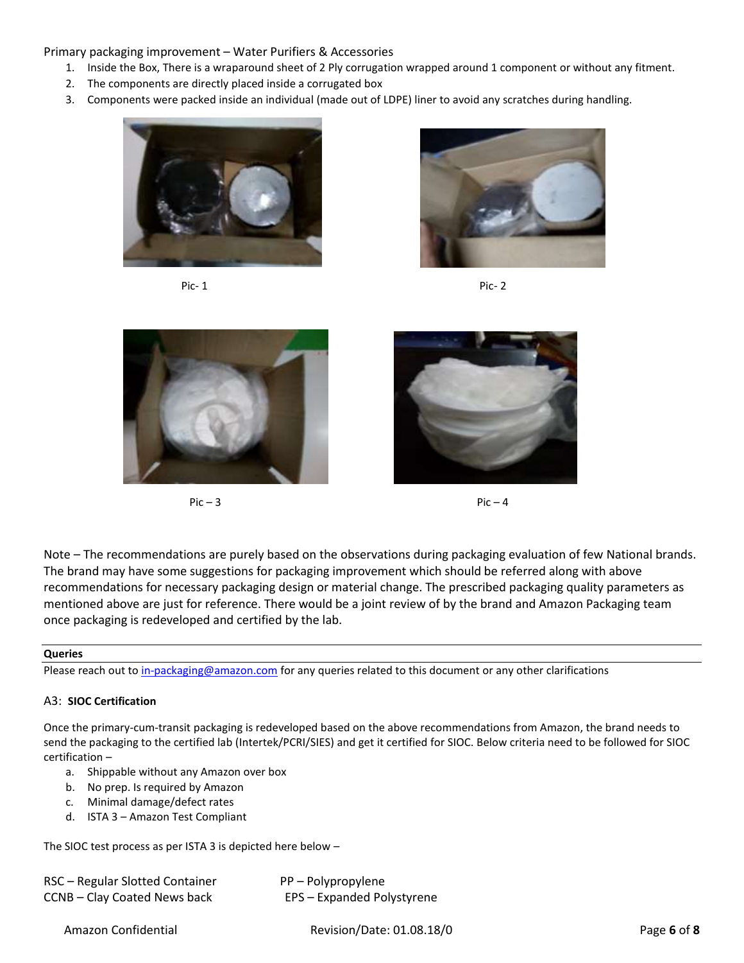- 1. Inside the Box, There is a wraparound sheet of 2 Ply corrugation wrapped around 1 component or without any fitment.
- 2. The components are directly placed inside a corrugated box
- 3. Components were packed inside an individual (made out of LDPE) liner to avoid any scratches during handling.











 $Pic - 3$  Pic – 4

Note – The recommendations are purely based on the observations during packaging evaluation of few National brands. The brand may have some suggestions for packaging improvement which should be referred along with above recommendations for necessary packaging design or material change. The prescribed packaging quality parameters as mentioned above are just for reference. There would be a joint review of by the brand and Amazon Packaging team once packaging is redeveloped and certified by the lab.

#### **Queries**

Please reach out t[o in-packaging@amazon.com](mailto:in-packaging@amazon.com) for any queries related to this document or any other clarifications

#### A3: **SIOC Certification**

Once the primary-cum-transit packaging is redeveloped based on the above recommendations from Amazon, the brand needs to send the packaging to the certified lab (Intertek/PCRI/SIES) and get it certified for SIOC. Below criteria need to be followed for SIOC certification –

- a. Shippable without any Amazon over box
- b. No prep. Is required by Amazon
- c. Minimal damage/defect rates
- d. ISTA 3 Amazon Test Compliant

The SIOC test process as per ISTA 3 is depicted here below –

| RSC - Regular Slotted Container | PP – Polypropylene         |
|---------------------------------|----------------------------|
| CCNB – Clay Coated News back    | EPS - Expanded Polystyrene |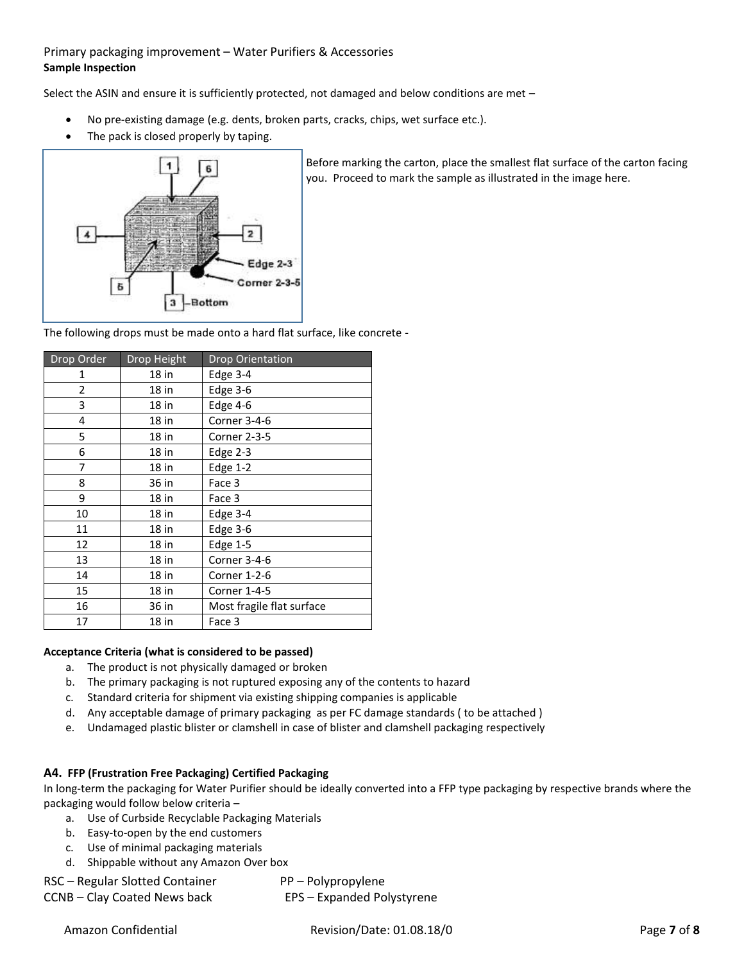## Primary packaging improvement – Water Purifiers & Accessories **Sample Inspection**

Select the ASIN and ensure it is sufficiently protected, not damaged and below conditions are met –

- No pre-existing damage (e.g. dents, broken parts, cracks, chips, wet surface etc.).
- The pack is closed properly by taping.



Before marking the carton, place the smallest flat surface of the carton facing you. Proceed to mark the sample as illustrated in the image here.

The following drops must be made onto a hard flat surface, like concrete -

| Drop Order | Drop Height | Drop Orientation          |
|------------|-------------|---------------------------|
| 1          | 18 in       | Edge 3-4                  |
| 2          | 18 in       | Edge 3-6                  |
| 3          | 18 in       | Edge 4-6                  |
| 4          | 18 in       | Corner 3-4-6              |
| 5          | 18 in       | Corner 2-3-5              |
| 6          | 18 in       | Edge $2-3$                |
| 7          | 18 in       | Edge $1-2$                |
| 8          | 36 in       | Face 3                    |
| 9          | 18 in       | Face 3                    |
| 10         | 18 in       | Edge $3-4$                |
| 11         | 18 in       | Edge $3-6$                |
| 12         | $18$ in     | Edge $1-5$                |
| 13         | $18$ in     | Corner 3-4-6              |
| 14         | 18 in       | Corner 1-2-6              |
| 15         | 18 in       | Corner 1-4-5              |
| 16         | 36 in       | Most fragile flat surface |
| 17         | 18 in       | Face 3                    |

#### **Acceptance Criteria (what is considered to be passed)**

- a. The product is not physically damaged or broken
- b. The primary packaging is not ruptured exposing any of the contents to hazard
- c. Standard criteria for shipment via existing shipping companies is applicable
- d. Any acceptable damage of primary packaging as per FC damage standards ( to be attached )
- e. Undamaged plastic blister or clamshell in case of blister and clamshell packaging respectively

## **A4. FFP (Frustration Free Packaging) Certified Packaging**

In long-term the packaging for Water Purifier should be ideally converted into a FFP type packaging by respective brands where the packaging would follow below criteria –

- a. Use of Curbside Recyclable Packaging Materials
- b. Easy-to-open by the end customers
- c. Use of minimal packaging materials
- d. Shippable without any Amazon Over box

| RSC - Regular Slotted Container | PP – Polypropylene         |
|---------------------------------|----------------------------|
| CCNB – Clay Coated News back    | EPS - Expanded Polystyrene |